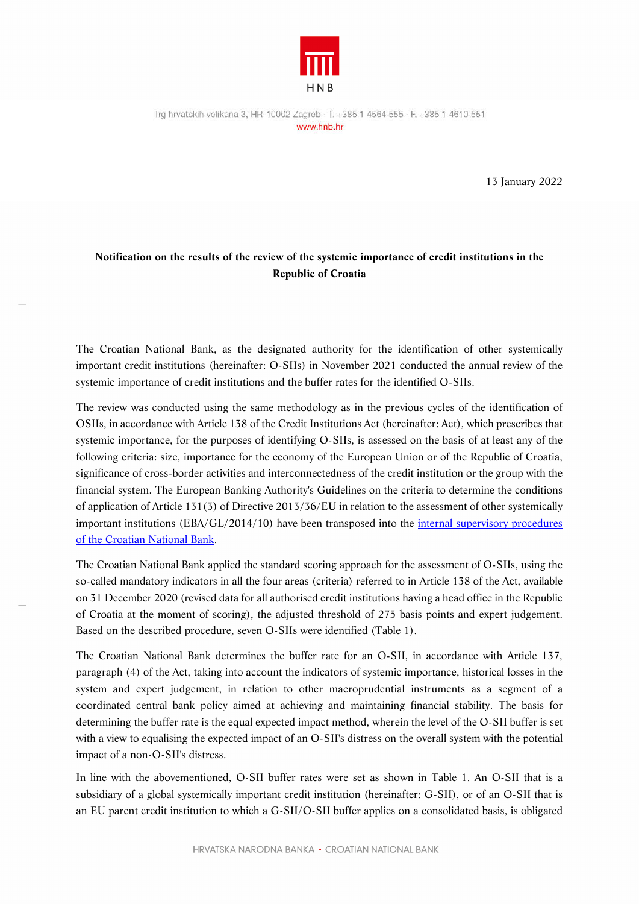

13 January 2022

## **Notification on the results of the review of the systemic importance of credit institutions in the Republic of Croatia**

The Croatian National Bank, as the designated authority for the identification of other systemically important credit institutions (hereinafter: O-SIIs) in November 2021 conducted the annual review of the systemic importance of credit institutions and the buffer rates for the identified O-SIIs.

The review was conducted using the same methodology as in the previous cycles of the identification of OSIIs, in accordance with Article 138 of the Credit Institutions Act (hereinafter: Act), which prescribes that systemic importance, for the purposes of identifying O-SIIs, is assessed on the basis of at least any of the following criteria: size, importance for the economy of the European Union or of the Republic of Croatia, significance of cross-border activities and interconnectedness of the credit institution or the group with the financial system. The European Banking Authority's Guidelines on the criteria to determine the conditions of application of Article 131(3) of Directive 2013/36/EU in relation to the assessment of other systemically important institutions (EBA/GL/2014/10) have been transposed into the internal supervisory procedures of the Croatian National Bank.

The Croatian National Bank applied the standard scoring approach for the assessment of O-SIIs, using the so-called mandatory indicators in all the four areas (criteria) referred to in Article 138 of the Act, available on 31 December 2020 (revised data for all authorised credit institutions having a head office in the Republic of Croatia at the moment of scoring), the adjusted threshold of 275 basis points and expert judgement. Based on the described procedure, seven O-SIIs were identified (Table 1).

The Croatian National Bank determines the buffer rate for an O-SII, in accordance with Article 137, paragraph (4) of the Act, taking into account the indicators of systemic importance, historical losses in the system and expert judgement, in relation to other macroprudential instruments as a segment of a coordinated central bank policy aimed at achieving and maintaining financial stability. The basis for determining the buffer rate is the equal expected impact method, wherein the level of the O-SII buffer is set with a view to equalising the expected impact of an O-SII's distress on the overall system with the potential impact of a non-O-SII's distress.

In line with the abovementioned, O-SII buffer rates were set as shown in Table 1. An O-SII that is a subsidiary of a global systemically important credit institution (hereinafter: G-SII), or of an O-SII that is an EU parent credit institution to which a G-SII/O-SII buffer applies on a consolidated basis, is obligated